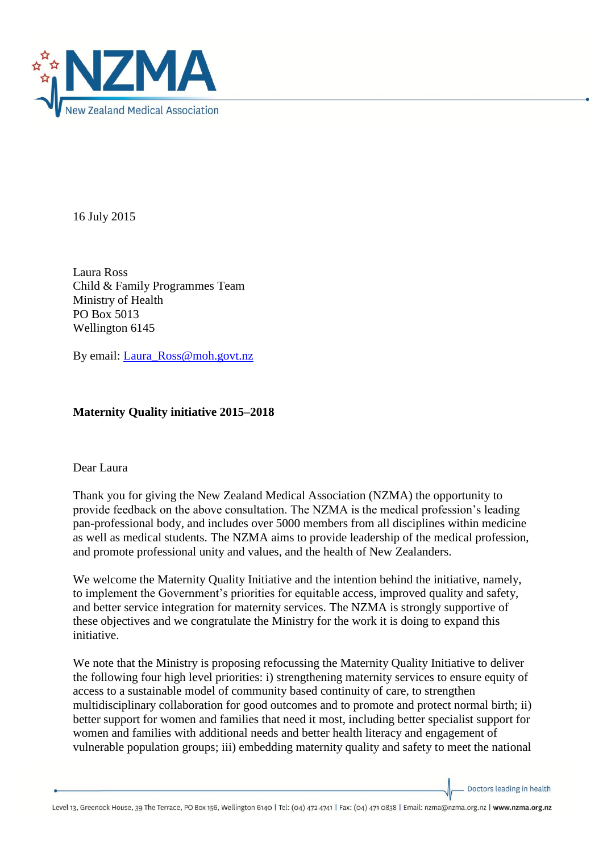

16 July 2015

Laura Ross Child & Family Programmes Team Ministry of Health PO Box 5013 Wellington 6145

By email: [Laura\\_Ross@moh.govt.nz](mailto:Laura_Ross@moh.govt.nz)

## **Maternity Quality initiative 2015–2018**

## Dear Laura

Thank you for giving the New Zealand Medical Association (NZMA) the opportunity to provide feedback on the above consultation. The NZMA is the medical profession's leading pan-professional body, and includes over 5000 members from all disciplines within medicine as well as medical students. The NZMA aims to provide leadership of the medical profession, and promote professional unity and values, and the health of New Zealanders.

We welcome the Maternity Quality Initiative and the intention behind the initiative, namely, to implement the Government's priorities for equitable access, improved quality and safety, and better service integration for maternity services. The NZMA is strongly supportive of these objectives and we congratulate the Ministry for the work it is doing to expand this initiative.

We note that the Ministry is proposing refocussing the Maternity Quality Initiative to deliver the following four high level priorities: i) strengthening maternity services to ensure equity of access to a sustainable model of community based continuity of care, to strengthen multidisciplinary collaboration for good outcomes and to promote and protect normal birth; ii) better support for women and families that need it most, including better specialist support for women and families with additional needs and better health literacy and engagement of vulnerable population groups; iii) embedding maternity quality and safety to meet the national

Doctors leading in health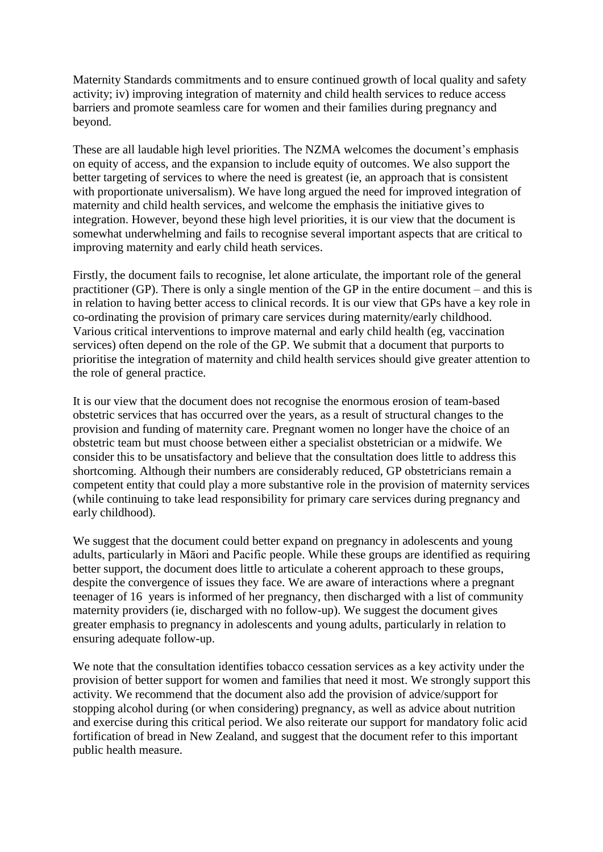Maternity Standards commitments and to ensure continued growth of local quality and safety activity; iv) improving integration of maternity and child health services to reduce access barriers and promote seamless care for women and their families during pregnancy and beyond.

These are all laudable high level priorities. The NZMA welcomes the document's emphasis on equity of access, and the expansion to include equity of outcomes. We also support the better targeting of services to where the need is greatest (ie, an approach that is consistent with proportionate universalism). We have long argued the need for improved integration of maternity and child health services, and welcome the emphasis the initiative gives to integration. However, beyond these high level priorities, it is our view that the document is somewhat underwhelming and fails to recognise several important aspects that are critical to improving maternity and early child heath services.

Firstly, the document fails to recognise, let alone articulate, the important role of the general practitioner (GP). There is only a single mention of the GP in the entire document – and this is in relation to having better access to clinical records. It is our view that GPs have a key role in co-ordinating the provision of primary care services during maternity/early childhood. Various critical interventions to improve maternal and early child health (eg, vaccination services) often depend on the role of the GP. We submit that a document that purports to prioritise the integration of maternity and child health services should give greater attention to the role of general practice.

It is our view that the document does not recognise the enormous erosion of team-based obstetric services that has occurred over the years, as a result of structural changes to the provision and funding of maternity care. Pregnant women no longer have the choice of an obstetric team but must choose between either a specialist obstetrician or a midwife. We consider this to be unsatisfactory and believe that the consultation does little to address this shortcoming. Although their numbers are considerably reduced, GP obstetricians remain a competent entity that could play a more substantive role in the provision of maternity services (while continuing to take lead responsibility for primary care services during pregnancy and early childhood).

We suggest that the document could better expand on pregnancy in adolescents and young adults, particularly in Māori and Pacific people. While these groups are identified as requiring better support, the document does little to articulate a coherent approach to these groups, despite the convergence of issues they face. We are aware of interactions where a pregnant teenager of 16 years is informed of her pregnancy, then discharged with a list of community maternity providers (ie, discharged with no follow-up). We suggest the document gives greater emphasis to pregnancy in adolescents and young adults, particularly in relation to ensuring adequate follow-up.

We note that the consultation identifies tobacco cessation services as a key activity under the provision of better support for women and families that need it most. We strongly support this activity. We recommend that the document also add the provision of advice/support for stopping alcohol during (or when considering) pregnancy, as well as advice about nutrition and exercise during this critical period. We also reiterate our support for mandatory folic acid fortification of bread in New Zealand, and suggest that the document refer to this important public health measure.